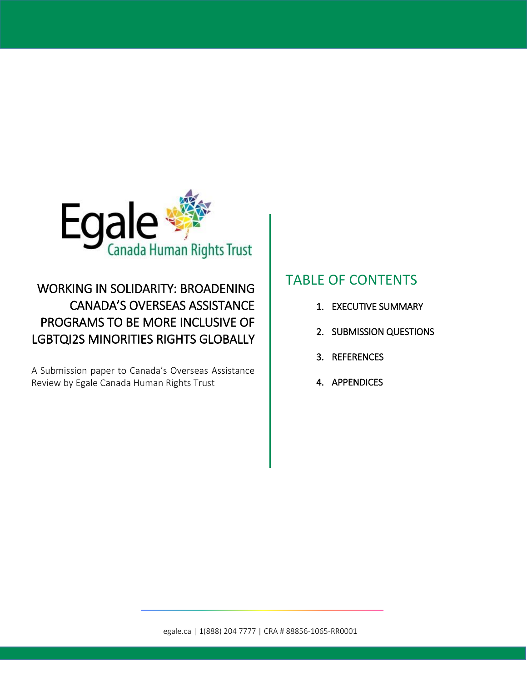

# WORKING IN SOLIDARITY: BROADENING CANADA'S OVERSEAS ASSISTANCE PROGRAMS TO BE MORE INCLUSIVE OF LGBTQI2S MINORITIES RIGHTS GLOBALLY

A Submission paper to Canada's Overseas Assistance Review by Egale Canada Human Rights Trust

# TABLE OF CONTENTS

- 1. EXECUTIVE SUMMARY
- 2. SUBMISSION QUESTIONS
- 3. REFERENCES
- 4. APPENDICES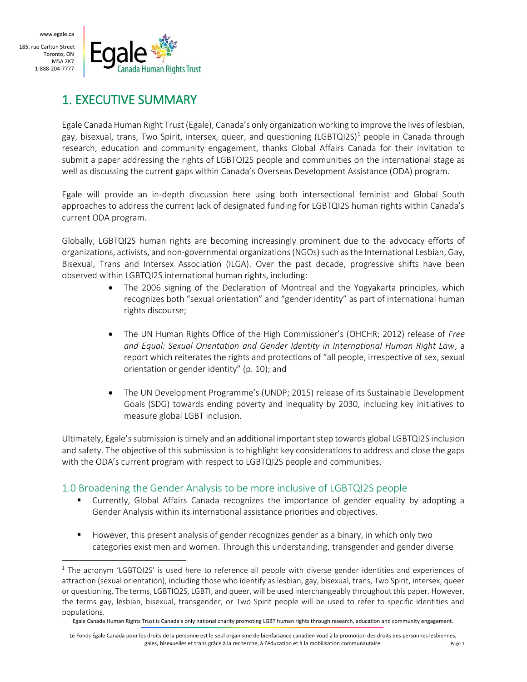$\overline{a}$ 



## 1. EXECUTIVE SUMMARY

Egale Canada Human Right Trust (Egale), Canada's only organization working to improve the lives of lesbian, gay, bisexual, trans, Two Spirit, intersex, queer, and questioning (LGBTQI2S)<sup>1</sup> people in Canada through research, education and community engagement, thanks Global Affairs Canada for their invitation to submit a paper addressing the rights of LGBTQI2S people and communities on the international stage as well as discussing the current gaps within Canada's Overseas Development Assistance (ODA) program.

Egale will provide an in-depth discussion here using both intersectional feminist and Global South approaches to address the current lack of designated funding for LGBTQI2S human rights within Canada's current ODA program.

Globally, LGBTQI2S human rights are becoming increasingly prominent due to the advocacy efforts of organizations, activists, and non-governmental organizations(NGOs)such as the International Lesbian, Gay, Bisexual, Trans and Intersex Association (ILGA). Over the past decade, progressive shifts have been observed within LGBTQI2S international human rights, including:

- The 2006 signing of the Declaration of Montreal and the Yogyakarta principles, which recognizes both "sexual orientation" and "gender identity" as part of international human rights discourse;
- The UN Human Rights Office of the High Commissioner's (OHCHR; 2012) release of *Free and Equal: Sexual Orientation and Gender Identity in International Human Right Law*, a report which reiterates the rights and protections of "all people, irrespective of sex, sexual orientation or gender identity" (p. 10); and
- The UN Development Programme's (UNDP; 2015) release of its Sustainable Development Goals (SDG) towards ending poverty and inequality by 2030, including key initiatives to measure global LGBT inclusion.

Ultimately, Egale's submission is timely and an additional important step towards global LGBTQI2S inclusion and safety. The objective of this submission is to highlight key considerations to address and close the gaps with the ODA's current program with respect to LGBTQI2S people and communities.

## 1.0 Broadening the Gender Analysis to be more inclusive of LGBTQI2S people

- Currently, Global Affairs Canada recognizes the importance of gender equality by adopting a Gender Analysis within its international assistance priorities and objectives.
- However, this present analysis of gender recognizes gender as a binary, in which only two categories exist men and women. Through this understanding, transgender and gender diverse

 $1$  The acronym 'LGBTQI2S' is used here to reference all people with diverse gender identities and experiences of attraction (sexual orientation), including those who identify as lesbian, gay, bisexual, trans, Two Spirit, intersex, queer or questioning. The terms, LGBTIQ2S, LGBTI, and queer, will be used interchangeably throughout this paper. However, the terms gay, lesbian, bisexual, transgender, or Two Spirit people will be used to refer to specific identities and populations.

Egale Canada Human Rights Trust is Canada's only national charity promoting LGBT human rights through research, education and community engagement.

Le Fonds Égale Canada pour les droits de la personne est le seul organisme de bienfaisance canadien voué à la promotion des droits des personnes lesbiennes, gaies, bisexuelles et trans grâce à la recherche, à l'éducation et à la mobilisation communautaire. Page 1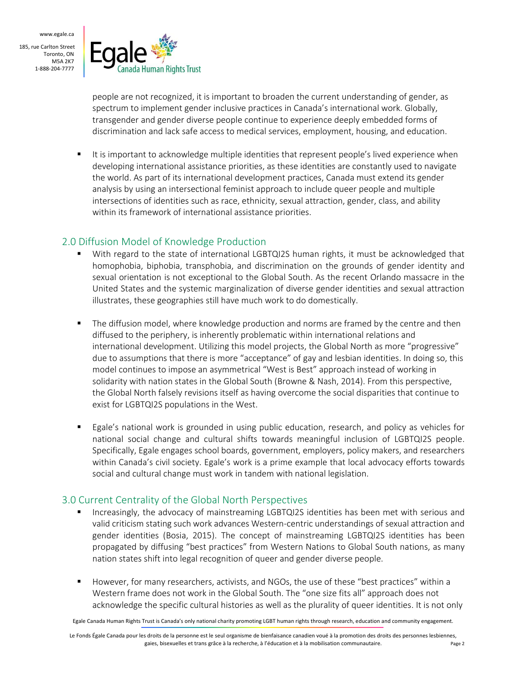

people are not recognized, it is important to broaden the current understanding of gender, as spectrum to implement gender inclusive practices in Canada's international work. Globally, transgender and gender diverse people continue to experience deeply embedded forms of discrimination and lack safe access to medical services, employment, housing, and education.

 It is important to acknowledge multiple identities that represent people's lived experience when developing international assistance priorities, as these identities are constantly used to navigate the world. As part of its international development practices, Canada must extend its gender analysis by using an intersectional feminist approach to include queer people and multiple intersections of identities such as race, ethnicity, sexual attraction, gender, class, and ability within its framework of international assistance priorities.

#### 2.0 Diffusion Model of Knowledge Production

- With regard to the state of international LGBTQI2S human rights, it must be acknowledged that homophobia, biphobia, transphobia, and discrimination on the grounds of gender identity and sexual orientation is not exceptional to the Global South. As the recent Orlando massacre in the United States and the systemic marginalization of diverse gender identities and sexual attraction illustrates, these geographies still have much work to do domestically.
- **The diffusion model, where knowledge production and norms are framed by the centre and then** diffused to the periphery, is inherently problematic within international relations and international development. Utilizing this model projects, the Global North as more "progressive" due to assumptions that there is more "acceptance" of gay and lesbian identities. In doing so, this model continues to impose an asymmetrical "West is Best" approach instead of working in solidarity with nation states in the Global South (Browne & Nash, 2014). From this perspective, the Global North falsely revisions itself as having overcome the social disparities that continue to exist for LGBTQI2S populations in the West.
- **Egale's national work is grounded in using public education, research, and policy as vehicles for** national social change and cultural shifts towards meaningful inclusion of LGBTQI2S people. Specifically, Egale engages school boards, government, employers, policy makers, and researchers within Canada's civil society. Egale's work is a prime example that local advocacy efforts towards social and cultural change must work in tandem with national legislation.

## 3.0 Current Centrality of the Global North Perspectives

- Increasingly, the advocacy of mainstreaming LGBTQI2S identities has been met with serious and valid criticism stating such work advances Western-centric understandings of sexual attraction and gender identities (Bosia, 2015). The concept of mainstreaming LGBTQI2S identities has been propagated by diffusing "best practices" from Western Nations to Global South nations, as many nation states shift into legal recognition of queer and gender diverse people.
- However, for many researchers, activists, and NGOs, the use of these "best practices" within a Western frame does not work in the Global South. The "one size fits all" approach does not acknowledge the specific cultural histories as well as the plurality of queer identities. It is not only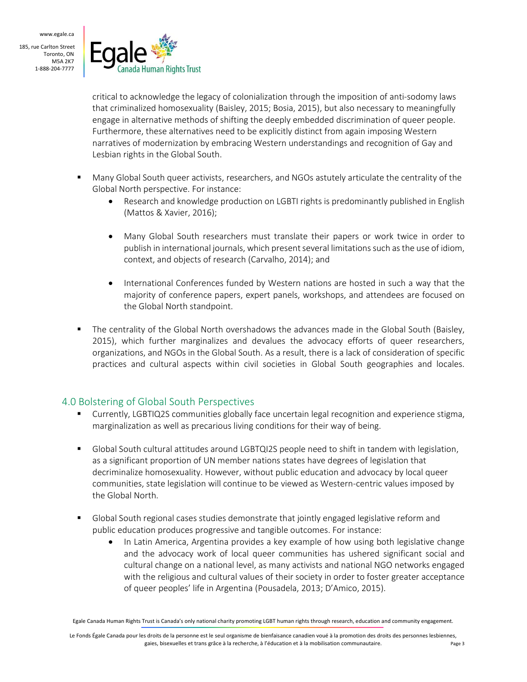

critical to acknowledge the legacy of colonialization through the imposition of anti-sodomy laws that criminalized homosexuality (Baisley, 2015; Bosia, 2015), but also necessary to meaningfully engage in alternative methods of shifting the deeply embedded discrimination of queer people. Furthermore, these alternatives need to be explicitly distinct from again imposing Western narratives of modernization by embracing Western understandings and recognition of Gay and Lesbian rights in the Global South.

- Many Global South queer activists, researchers, and NGOs astutely articulate the centrality of the Global North perspective. For instance:
	- Research and knowledge production on LGBTI rights is predominantly published in English (Mattos & Xavier, 2016);
	- Many Global South researchers must translate their papers or work twice in order to publish in international journals, which present several limitations such as the use of idiom, context, and objects of research (Carvalho, 2014); and
	- International Conferences funded by Western nations are hosted in such a way that the majority of conference papers, expert panels, workshops, and attendees are focused on the Global North standpoint.
- The centrality of the Global North overshadows the advances made in the Global South (Baisley, 2015), which further marginalizes and devalues the advocacy efforts of queer researchers, organizations, and NGOs in the Global South. As a result, there is a lack of consideration of specific practices and cultural aspects within civil societies in Global South geographies and locales.

## 4.0 Bolstering of Global South Perspectives

- Currently, LGBTIQ2S communities globally face uncertain legal recognition and experience stigma, marginalization as well as precarious living conditions for their way of being.
- Global South cultural attitudes around LGBTQI2S people need to shift in tandem with legislation, as a significant proportion of UN member nations states have degrees of legislation that decriminalize homosexuality. However, without public education and advocacy by local queer communities, state legislation will continue to be viewed as Western-centric values imposed by the Global North.
- Global South regional cases studies demonstrate that jointly engaged legislative reform and public education produces progressive and tangible outcomes. For instance:
	- In Latin America, Argentina provides a key example of how using both legislative change and the advocacy work of local queer communities has ushered significant social and cultural change on a national level, as many activists and national NGO networks engaged with the religious and cultural values of their society in order to foster greater acceptance of queer peoples' life in Argentina (Pousadela, 2013; D'Amico, 2015).

Egale Canada Human Rights Trust is Canada's only national charity promoting LGBT human rights through research, education and community engagement.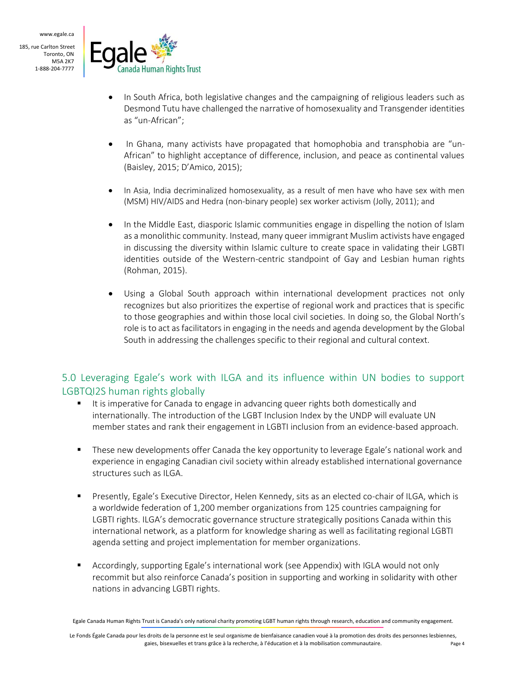

- In South Africa, both legislative changes and the campaigning of religious leaders such as Desmond Tutu have challenged the narrative of homosexuality and Transgender identities as "un-African";
- In Ghana, many activists have propagated that homophobia and transphobia are "un-African" to highlight acceptance of difference, inclusion, and peace as continental values (Baisley, 2015; D'Amico, 2015);
- In Asia, India decriminalized homosexuality, as a result of men have who have sex with men (MSM) HIV/AIDS and Hedra (non-binary people) sex worker activism (Jolly, 2011); and
- In the Middle East, diasporic Islamic communities engage in dispelling the notion of Islam as a monolithic community. Instead, many queer immigrant Muslim activists have engaged in discussing the diversity within Islamic culture to create space in validating their LGBTI identities outside of the Western-centric standpoint of Gay and Lesbian human rights (Rohman, 2015).
- Using a Global South approach within international development practices not only recognizes but also prioritizes the expertise of regional work and practices that is specific to those geographies and within those local civil societies. In doing so, the Global North's role is to act as facilitators in engaging in the needs and agenda development by the Global South in addressing the challenges specific to their regional and cultural context.

## 5.0 Leveraging Egale's work with ILGA and its influence within UN bodies to support LGBTQI2S human rights globally

- If is imperative for Canada to engage in advancing queer rights both domestically and internationally. The introduction of the LGBT Inclusion Index by the UNDP will evaluate UN member states and rank their engagement in LGBTI inclusion from an evidence-based approach.
- These new developments offer Canada the key opportunity to leverage Egale's national work and experience in engaging Canadian civil society within already established international governance structures such as ILGA.
- Presently, Egale's Executive Director, Helen Kennedy, sits as an elected co-chair of ILGA, which is a worldwide federation of 1,200 member organizations from 125 countries campaigning for LGBTI rights. ILGA's democratic governance structure strategically positions Canada within this international network, as a platform for knowledge sharing as well as facilitating regional LGBTI agenda setting and project implementation for member organizations.
- Accordingly, supporting Egale's international work (see Appendix) with IGLA would not only recommit but also reinforce Canada's position in supporting and working in solidarity with other nations in advancing LGBTI rights.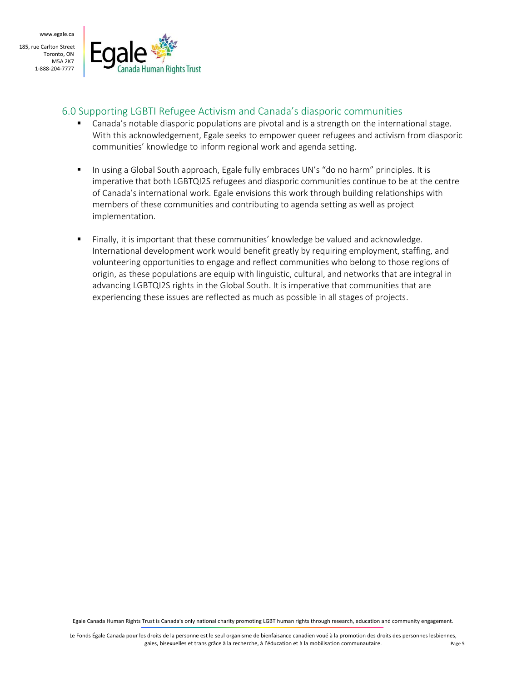

#### 6.0 Supporting LGBTI Refugee Activism and Canada's diasporic communities

- Canada's notable diasporic populations are pivotal and is a strength on the international stage. With this acknowledgement, Egale seeks to empower queer refugees and activism from diasporic communities' knowledge to inform regional work and agenda setting.
- In using a Global South approach, Egale fully embraces UN's "do no harm" principles. It is imperative that both LGBTQI2S refugees and diasporic communities continue to be at the centre of Canada's international work. Egale envisions this work through building relationships with members of these communities and contributing to agenda setting as well as project implementation.
- Finally, it is important that these communities' knowledge be valued and acknowledge. International development work would benefit greatly by requiring employment, staffing, and volunteering opportunities to engage and reflect communities who belong to those regions of origin, as these populations are equip with linguistic, cultural, and networks that are integral in advancing LGBTQI2S rights in the Global South. It is imperative that communities that are experiencing these issues are reflected as much as possible in all stages of projects.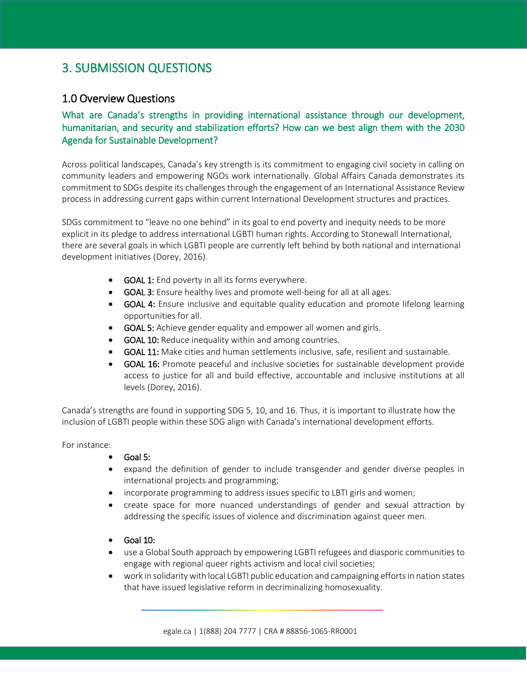## 3. SUBMISSION QUESTIONS

## 1.0 Overview Questions

#### What are Canada's strengths in providing international assistance through our development, humanitarian, and security and stabilization efforts? How can we best align them with the 2030 Agenda for Sustainable Development?

Across political landscapes, Canada's key strength is its commitment to engaging civil society in calling on community leaders and empowering NGOs work internationally. Global Affairs Canada demonstrates its commitment to SDGs despite its challenges through the engagement of an International Assistance Review process in addressing current gaps within current International Development structures and practices.

SDGs commitment to "leave no one behind" in its goal to end poverty and inequity needs to be more explicit in its pledge to address international LGBTI human rights. According to Stonewall International, there are several goals in which LGBTI people are currently left behind by both national and international development initiatives (Dorey, 2016).

- GOAL 1: End poverty in all its forms everywhere.
- GOAL 3: Ensure healthy lives and promote well-being for all at all ages.
- GOAL 4: Ensure inclusive and equitable quality education and promote lifelong learning opportunities for all.
- GOAL 5: Achieve gender equality and empower all women and girls.
- **GOAL 10:** Reduce inequality within and among countries.
- GOAL 11: Make cities and human settlements inclusive, safe, resilient and sustainable.
- GOAL 16: Promote peaceful and inclusive societies for sustainable development provide access to justice for all and build effective, accountable and inclusive institutions at all levels (Dorey, 2016).

Canada's strengths are found in supporting SDG 5, 10, and 16. Thus, it is important to illustrate how the inclusion of LGBTI people within these SDG align with Canada's international development efforts.

For instance:

- Goal 5:
- expand the definition of gender to include transgender and gender diverse peoples in international projects and programming;
- incorporate programming to address issues specific to LBTI girls and women;
- create space for more nuanced understandings of gender and sexual attraction by addressing the specific issues of violence and discrimination against queer men.
- Goal 10:
- use a Global South approach by empowering LGBTI refugees and diasporic communities to engage with regional queer rights activism and local civil societies;
- work in solidarity with local LGBTI public education and campaigning efforts in nation states that have issued legislative reform in decriminalizing homosexuality.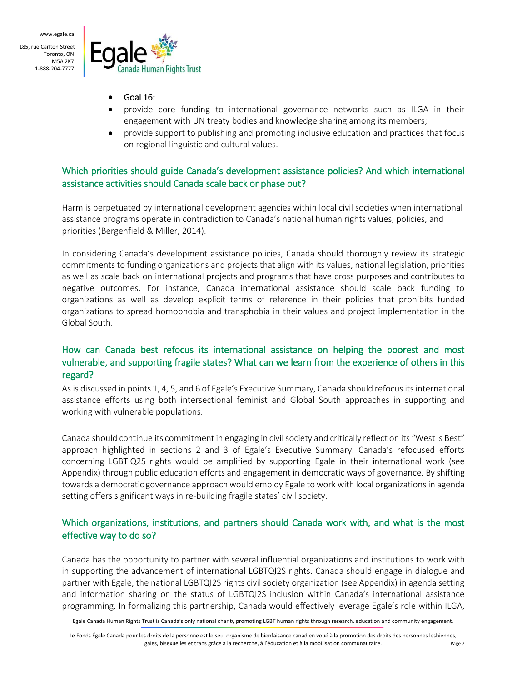

- Goal 16:
- provide core funding to international governance networks such as ILGA in their engagement with UN treaty bodies and knowledge sharing among its members;
- provide support to publishing and promoting inclusive education and practices that focus on regional linguistic and cultural values.

Which priorities should guide Canada's development assistance policies? And which international assistance activities should Canada scale back or phase out?

Harm is perpetuated by international development agencies within local civil societies when international assistance programs operate in contradiction to Canada's national human rights values, policies, and priorities (Bergenfield & Miller, 2014).

In considering Canada's development assistance policies, Canada should thoroughly review its strategic commitments to funding organizations and projects that align with its values, national legislation, priorities as well as scale back on international projects and programs that have cross purposes and contributes to negative outcomes. For instance, Canada international assistance should scale back funding to organizations as well as develop explicit terms of reference in their policies that prohibits funded organizations to spread homophobia and transphobia in their values and project implementation in the Global South.

#### How can Canada best refocus its international assistance on helping the poorest and most vulnerable, and supporting fragile states? What can we learn from the experience of others in this regard?

As is discussed in points 1, 4, 5, and 6 of Egale's Executive Summary, Canada should refocus its international assistance efforts using both intersectional feminist and Global South approaches in supporting and working with vulnerable populations.

Canada should continue its commitment in engaging in civil society and critically reflect on its "West is Best" approach highlighted in sections 2 and 3 of Egale's Executive Summary. Canada's refocused efforts concerning LGBTIQ2S rights would be amplified by supporting Egale in their international work (see Appendix) through public education efforts and engagement in democratic ways of governance. By shifting towards a democratic governance approach would employ Egale to work with local organizations in agenda setting offers significant ways in re-building fragile states' civil society.

#### Which organizations, institutions, and partners should Canada work with, and what is the most effective way to do so?

Canada has the opportunity to partner with several influential organizations and institutions to work with in supporting the advancement of international LGBTQI2S rights. Canada should engage in dialogue and partner with Egale, the national LGBTQI2S rights civil society organization (see Appendix) in agenda setting and information sharing on the status of LGBTQI2S inclusion within Canada's international assistance programming. In formalizing this partnership, Canada would effectively leverage Egale's role within ILGA,

Egale Canada Human Rights Trust is Canada's only national charity promoting LGBT human rights through research, education and community engagement.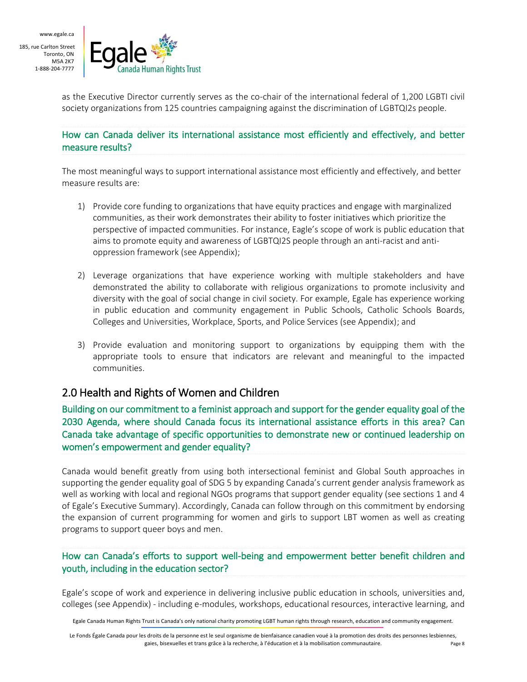

as the Executive Director currently serves as the co-chair of the international federal of 1,200 LGBTI civil society organizations from 125 countries campaigning against the discrimination of LGBTQI2s people.

#### How can Canada deliver its international assistance most efficiently and effectively, and better measure results?

The most meaningful ways to support international assistance most efficiently and effectively, and better measure results are:

- 1) Provide core funding to organizations that have equity practices and engage with marginalized communities, as their work demonstrates their ability to foster initiatives which prioritize the perspective of impacted communities. For instance, Eagle's scope of work is public education that aims to promote equity and awareness of LGBTQI2S people through an anti-racist and antioppression framework (see Appendix);
- 2) Leverage organizations that have experience working with multiple stakeholders and have demonstrated the ability to collaborate with religious organizations to promote inclusivity and diversity with the goal of social change in civil society. For example, Egale has experience working in public education and community engagement in Public Schools, Catholic Schools Boards, Colleges and Universities, Workplace, Sports, and Police Services (see Appendix); and
- 3) Provide evaluation and monitoring support to organizations by equipping them with the appropriate tools to ensure that indicators are relevant and meaningful to the impacted communities.

## 2.0 Health and Rights of Women and Children

Building on our commitment to a feminist approach and support for the gender equality goal of the 2030 Agenda, where should Canada focus its international assistance efforts in this area? Can Canada take advantage of specific opportunities to demonstrate new or continued leadership on women's empowerment and gender equality?

Canada would benefit greatly from using both intersectional feminist and Global South approaches in supporting the gender equality goal of SDG 5 by expanding Canada's current gender analysis framework as well as working with local and regional NGOs programs that support gender equality (see sections 1 and 4 of Egale's Executive Summary). Accordingly, Canada can follow through on this commitment by endorsing the expansion of current programming for women and girls to support LBT women as well as creating programs to support queer boys and men.

#### How can Canada's efforts to support well-being and empowerment better benefit children and youth, including in the education sector?

Egale's scope of work and experience in delivering inclusive public education in schools, universities and, colleges (see Appendix) - including e-modules, workshops, educational resources, interactive learning, and

Egale Canada Human Rights Trust is Canada's only national charity promoting LGBT human rights through research, education and community engagement.

Le Fonds Égale Canada pour les droits de la personne est le seul organisme de bienfaisance canadien voué à la promotion des droits des personnes lesbiennes, gaies, bisexuelles et trans grâce à la recherche, à l'éducation et à la mobilisation communautaire. Page 8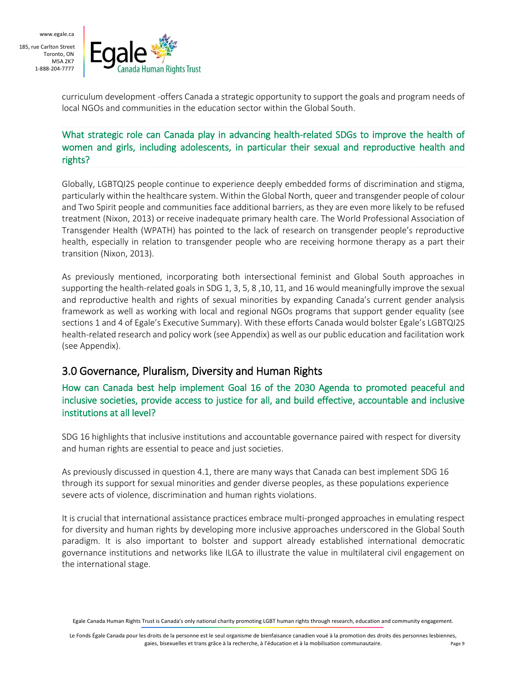

curriculum development -offers Canada a strategic opportunity to support the goals and program needs of local NGOs and communities in the education sector within the Global South.

#### What strategic role can Canada play in advancing health-related SDGs to improve the health of women and girls, including adolescents, in particular their sexual and reproductive health and rights?

Globally, LGBTQI2S people continue to experience deeply embedded forms of discrimination and stigma, particularly within the healthcare system. Within the Global North, queer and transgender people of colour and Two Spirit people and communities face additional barriers, as they are even more likely to be refused treatment (Nixon, 2013) or receive inadequate primary health care. The World Professional Association of Transgender Health (WPATH) has pointed to the lack of research on transgender people's reproductive health, especially in relation to transgender people who are receiving hormone therapy as a part their transition (Nixon, 2013).

As previously mentioned, incorporating both intersectional feminist and Global South approaches in supporting the health-related goals in SDG 1, 3, 5, 8 ,10, 11, and 16 would meaningfully improve the sexual and reproductive health and rights of sexual minorities by expanding Canada's current gender analysis framework as well as working with local and regional NGOs programs that support gender equality (see sections 1 and 4 of Egale's Executive Summary). With these efforts Canada would bolster Egale's LGBTQI2S health-related research and policy work (see Appendix) as well as our public education and facilitation work (see Appendix).

## 3.0 Governance, Pluralism, Diversity and Human Rights

How can Canada best help implement Goal 16 of the 2030 Agenda to promoted peaceful and inclusive societies, provide access to justice for all, and build effective, accountable and inclusive institutions at all level?

SDG 16 highlights that inclusive institutions and accountable governance paired with respect for diversity and human rights are essential to peace and just societies.

As previously discussed in question 4.1, there are many ways that Canada can best implement SDG 16 through its support for sexual minorities and gender diverse peoples, as these populations experience severe acts of violence, discrimination and human rights violations.

It is crucial that international assistance practices embrace multi-pronged approaches in emulating respect for diversity and human rights by developing more inclusive approaches underscored in the Global South paradigm. It is also important to bolster and support already established international democratic governance institutions and networks like ILGA to illustrate the value in multilateral civil engagement on the international stage.

Egale Canada Human Rights Trust is Canada's only national charity promoting LGBT human rights through research, education and community engagement.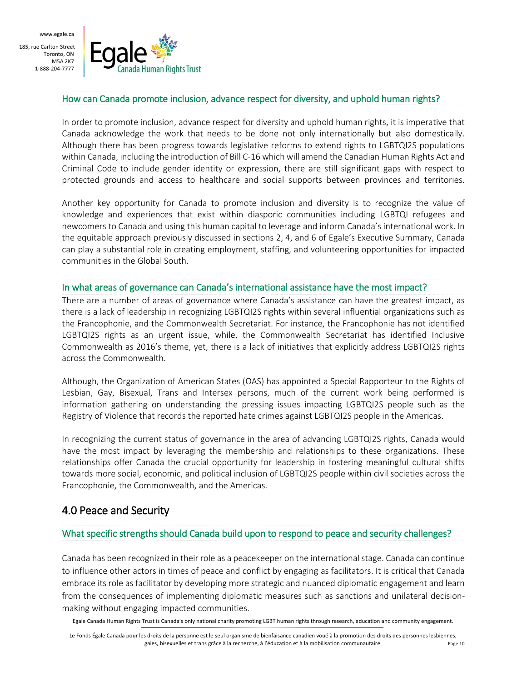www.egale.ca

185, rue Carlton Street Toronto, ON M5A 2K7 1-888-204-7777



#### How can Canada promote inclusion, advance respect for diversity, and uphold human rights?

In order to promote inclusion, advance respect for diversity and uphold human rights, it is imperative that Canada acknowledge the work that needs to be done not only internationally but also domestically. Although there has been progress towards legislative reforms to extend rights to LGBTQI2S populations within Canada, including the introduction of Bill C-16 which will amend the Canadian Human Rights Act and Criminal Code to include gender identity or expression, there are still significant gaps with respect to protected grounds and access to healthcare and social supports between provinces and territories.

Another key opportunity for Canada to promote inclusion and diversity is to recognize the value of knowledge and experiences that exist within diasporic communities including LGBTQI refugees and newcomers to Canada and using this human capital to leverage and inform Canada's international work. In the equitable approach previously discussed in sections 2, 4, and 6 of Egale's Executive Summary, Canada can play a substantial role in creating employment, staffing, and volunteering opportunities for impacted communities in the Global South.

#### In what areas of governance can Canada's international assistance have the most impact?

There are a number of areas of governance where Canada's assistance can have the greatest impact, as there is a lack of leadership in recognizing LGBTQI2S rights within several influential organizations such as the Francophonie, and the Commonwealth Secretariat. For instance, the Francophonie has not identified LGBTQI2S rights as an urgent issue, while, the Commonwealth Secretariat has identified Inclusive Commonwealth as 2016's theme, yet, there is a lack of initiatives that explicitly address LGBTQI2S rights across the Commonwealth.

Although, the Organization of American States (OAS) has appointed a Special Rapporteur to the Rights of Lesbian, Gay, Bisexual, Trans and Intersex persons, much of the current work being performed is information gathering on understanding the pressing issues impacting LGBTQI2S people such as the Registry of Violence that records the reported hate crimes against LGBTQI2S people in the Americas.

In recognizing the current status of governance in the area of advancing LGBTQI2S rights, Canada would have the most impact by leveraging the membership and relationships to these organizations. These relationships offer Canada the crucial opportunity for leadership in fostering meaningful cultural shifts towards more social, economic, and political inclusion of LGBTQI2S people within civil societies across the Francophonie, the Commonwealth, and the Americas.

## 4.0 Peace and Security

#### What specific strengths should Canada build upon to respond to peace and security challenges?

Canada has been recognized in their role as a peacekeeper on the international stage. Canada can continue to influence other actors in times of peace and conflict by engaging as facilitators. It is critical that Canada embrace its role as facilitator by developing more strategic and nuanced diplomatic engagement and learn from the consequences of implementing diplomatic measures such as sanctions and unilateral decisionmaking without engaging impacted communities.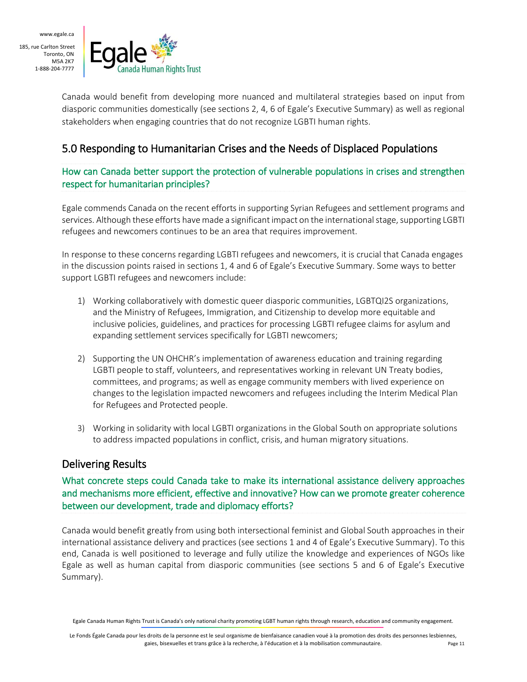

Canada would benefit from developing more nuanced and multilateral strategies based on input from diasporic communities domestically (see sections 2, 4, 6 of Egale's Executive Summary) as well as regional stakeholders when engaging countries that do not recognize LGBTI human rights.

## 5.0 Responding to Humanitarian Crises and the Needs of Displaced Populations

How can Canada better support the protection of vulnerable populations in crises and strengthen respect for humanitarian principles?

Egale commends Canada on the recent efforts in supporting Syrian Refugees and settlement programs and services. Although these efforts have made a significant impact on the international stage, supporting LGBTI refugees and newcomers continues to be an area that requires improvement.

In response to these concerns regarding LGBTI refugees and newcomers, it is crucial that Canada engages in the discussion points raised in sections 1, 4 and 6 of Egale's Executive Summary. Some ways to better support LGBTI refugees and newcomers include:

- 1) Working collaboratively with domestic queer diasporic communities, LGBTQI2S organizations, and the Ministry of Refugees, Immigration, and Citizenship to develop more equitable and inclusive policies, guidelines, and practices for processing LGBTI refugee claims for asylum and expanding settlement services specifically for LGBTI newcomers;
- 2) Supporting the UN OHCHR's implementation of awareness education and training regarding LGBTI people to staff, volunteers, and representatives working in relevant UN Treaty bodies, committees, and programs; as well as engage community members with lived experience on changes to the legislation impacted newcomers and refugees including the Interim Medical Plan for Refugees and Protected people.
- 3) Working in solidarity with local LGBTI organizations in the Global South on appropriate solutions to address impacted populations in conflict, crisis, and human migratory situations.

## Delivering Results

What concrete steps could Canada take to make its international assistance delivery approaches and mechanisms more efficient, effective and innovative? How can we promote greater coherence between our development, trade and diplomacy efforts?

Canada would benefit greatly from using both intersectional feminist and Global South approaches in their international assistance delivery and practices (see sections 1 and 4 of Egale's Executive Summary). To this end, Canada is well positioned to leverage and fully utilize the knowledge and experiences of NGOs like Egale as well as human capital from diasporic communities (see sections 5 and 6 of Egale's Executive Summary).

Egale Canada Human Rights Trust is Canada's only national charity promoting LGBT human rights through research, education and community engagement.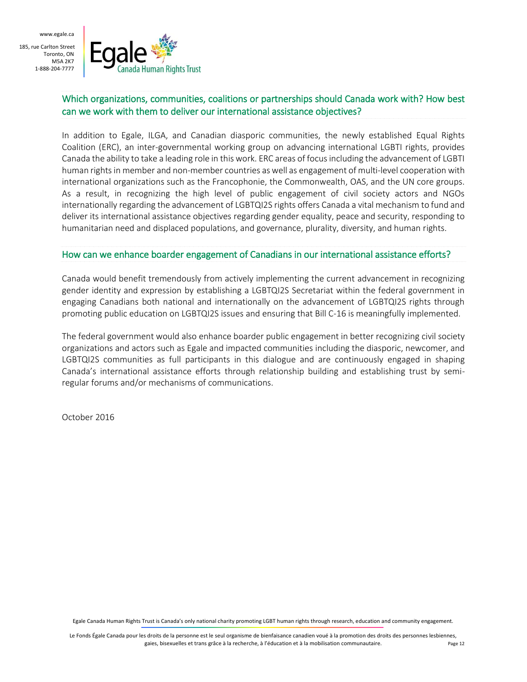

#### Which organizations, communities, coalitions or partnerships should Canada work with? How best can we work with them to deliver our international assistance objectives?

In addition to Egale, ILGA, and Canadian diasporic communities, the newly established Equal Rights Coalition (ERC), an inter-governmental working group on advancing international LGBTI rights, provides Canada the ability to take a leading role in this work. ERC areas of focus including the advancement of LGBTI human rights in member and non-member countries as well as engagement of multi-level cooperation with international organizations such as the Francophonie, the Commonwealth, OAS, and the UN core groups. As a result, in recognizing the high level of public engagement of civil society actors and NGOs internationally regarding the advancement of LGBTQI2S rights offers Canada a vital mechanism to fund and deliver its international assistance objectives regarding gender equality, peace and security, responding to humanitarian need and displaced populations, and governance, plurality, diversity, and human rights.

#### How can we enhance boarder engagement of Canadians in our international assistance efforts?

Canada would benefit tremendously from actively implementing the current advancement in recognizing gender identity and expression by establishing a LGBTQI2S Secretariat within the federal government in engaging Canadians both national and internationally on the advancement of LGBTQI2S rights through promoting public education on LGBTQI2S issues and ensuring that Bill C-16 is meaningfully implemented.

The federal government would also enhance boarder public engagement in better recognizing civil society organizations and actors such as Egale and impacted communities including the diasporic, newcomer, and LGBTQI2S communities as full participants in this dialogue and are continuously engaged in shaping Canada's international assistance efforts through relationship building and establishing trust by semiregular forums and/or mechanisms of communications.

October 2016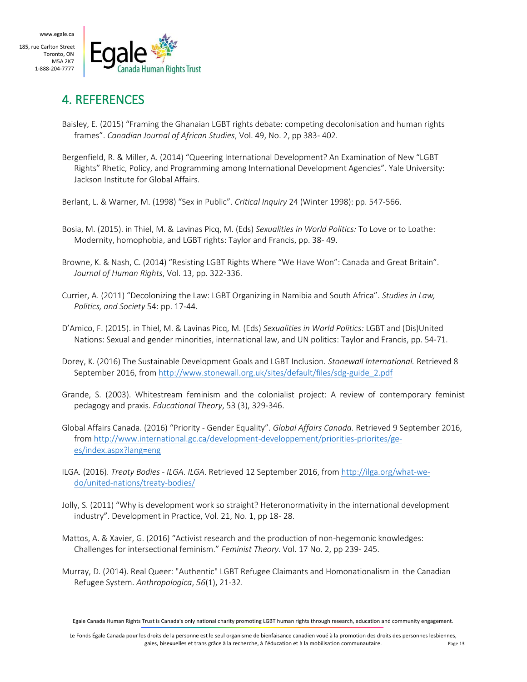

## 4. REFERENCES

- Baisley, E. (2015) "Framing the Ghanaian LGBT rights debate: competing decolonisation and human rights frames". *Canadian Journal of African Studies*, Vol. 49, No. 2, pp 383- 402.
- Bergenfield, R. & Miller, A. (2014) "Queering International Development? An Examination of New "LGBT Rights" Rhetic, Policy, and Programming among International Development Agencies". Yale University: Jackson Institute for Global Affairs.
- Berlant, L. & Warner, M. (1998) "Sex in Public". *Critical Inquiry* 24 (Winter 1998): pp. 547-566.
- Bosia, M. (2015). in Thiel, M. & Lavinas Picq, M. (Eds) *Sexualities in World Politics:* To Love or to Loathe: Modernity, homophobia, and LGBT rights: Taylor and Francis, pp. 38- 49.
- Browne, K. & Nash, C. (2014) "Resisting LGBT Rights Where "We Have Won": Canada and Great Britain". *Journal of Human Rights*, Vol. 13, pp. 322-336.
- Currier, A. (2011) "Decolonizing the Law: LGBT Organizing in Namibia and South Africa". *Studies in Law, Politics, and Society* 54: pp. 17-44.
- D'Amico, F. (2015). in Thiel, M. & Lavinas Picq, M. (Eds) *Sexualities in World Politics:* LGBT and (Dis)United Nations: Sexual and gender minorities, international law, and UN politics: Taylor and Francis, pp. 54-71.
- Dorey, K. (2016) The Sustainable Development Goals and LGBT Inclusion. *Stonewall International.* Retrieved 8 September 2016, from [http://www.stonewall.org.uk/sites/default/files/sdg-guide\\_2.pdf](http://www.stonewall.org.uk/sites/default/files/sdg-guide_2.pdf)
- Grande, S. (2003). Whitestream feminism and the colonialist project: A review of contemporary feminist pedagogy and praxis. *Educational Theory*, 53 (3), 329-346.
- Global Affairs Canada. (2016) "Priority Gender Equality". *Global Affairs Canada*. Retrieved 9 September 2016, from [http://www.international.gc.ca/development-developpement/priorities-priorites/ge](http://www.international.gc.ca/development-developpement/priorities-priorites/ge-es/index.aspx?lang=eng)[es/index.aspx?lang=eng](http://www.international.gc.ca/development-developpement/priorities-priorites/ge-es/index.aspx?lang=eng)
- ILGA*.* (2016). *Treaty Bodies - ILGA*. *ILGA*. Retrieved 12 September 2016, fro[m http://ilga.org/what-we](http://ilga.org/what-we-do/united-nations/treaty-bodies/)[do/united-nations/treaty-bodies/](http://ilga.org/what-we-do/united-nations/treaty-bodies/)
- Jolly, S. (2011) "Why is development work so straight? Heteronormativity in the international development industry". Development in Practice, Vol. 21, No. 1, pp 18- 28.
- Mattos, A. & Xavier, G. (2016) "Activist research and the production of non-hegemonic knowledges: Challenges for intersectional feminism." *Feminist Theory*. Vol. 17 No. 2, pp 239- 245.
- Murray, D. (2014). Real Queer: "Authentic" LGBT Refugee Claimants and Homonationalism in the Canadian Refugee System. *Anthropologica*, *56*(1), 21-32.

Egale Canada Human Rights Trust is Canada's only national charity promoting LGBT human rights through research, education and community engagement.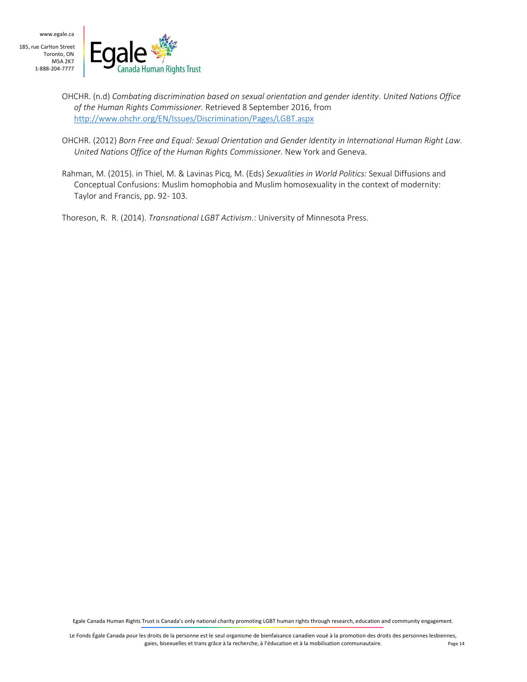

- OHCHR. (n.d) *Combating discrimination based on sexual orientation and gender identity*. *United Nations Office of the Human Rights Commissioner.* Retrieved 8 September 2016, from <http://www.ohchr.org/EN/Issues/Discrimination/Pages/LGBT.aspx>
- OHCHR. (2012) *Born Free and Equal: Sexual Orientation and Gender Identity in International Human Right Law*. *United Nations Office of the Human Rights Commissioner.* New York and Geneva.
- Rahman, M. (2015). in Thiel, M. & Lavinas Picq, M. (Eds) *Sexualities in World Politics:* Sexual Diffusions and Conceptual Confusions: Muslim homophobia and Muslim homosexuality in the context of modernity: Taylor and Francis, pp. 92- 103.

Thoreson, R. R. (2014). *Transnational LGBT Activism*.: University of Minnesota Press.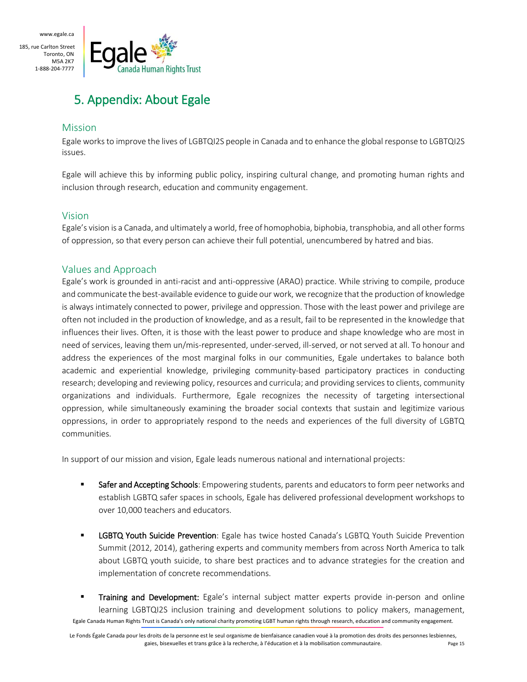www.egale.ca

185, rue Carlton Street Toronto, ON M5A 2K7 1-888-204-7777



# 5. Appendix: About Egale

#### Mission

Egale works to improve the lives of LGBTQI2S people in Canada and to enhance the global response to LGBTQI2S issues.

Egale will achieve this by informing public policy, inspiring cultural change, and promoting human rights and inclusion through research, education and community engagement.

## Vision

Egale's vision is a Canada, and ultimately a world, free of homophobia, biphobia, transphobia, and all other forms of oppression, so that every person can achieve their full potential, unencumbered by hatred and bias.

## Values and Approach

Egale's work is grounded in anti-racist and anti-oppressive (ARAO) practice. While striving to compile, produce and communicate the best-available evidence to guide our work, we recognize that the production of knowledge is always intimately connected to power, privilege and oppression. Those with the least power and privilege are often not included in the production of knowledge, and as a result, fail to be represented in the knowledge that influences their lives. Often, it is those with the least power to produce and shape knowledge who are most in need of services, leaving them un/mis-represented, under-served, ill-served, or not served at all. To honour and address the experiences of the most marginal folks in our communities, Egale undertakes to balance both academic and experiential knowledge, privileging community-based participatory practices in conducting research; developing and reviewing policy, resources and curricula; and providing services to clients, community organizations and individuals. Furthermore, Egale recognizes the necessity of targeting intersectional oppression, while simultaneously examining the broader social contexts that sustain and legitimize various oppressions, in order to appropriately respond to the needs and experiences of the full diversity of LGBTQ communities.

In support of our mission and vision, Egale leads numerous national and international projects:

- Safer and Accepting Schools: Empowering students, parents and educators to form peer networks and establish LGBTQ safer spaces in schools, Egale has delivered professional development workshops to over 10,000 teachers and educators.
- **EXECT SOUTH Suicide Prevention:** Egale has twice hosted Canada's LGBTQ Youth Suicide Prevention Summit (2012, 2014), gathering experts and community members from across North America to talk about LGBTQ youth suicide, to share best practices and to advance strategies for the creation and implementation of concrete recommendations.
- Egale Canada Human Rights Trust is Canada's only national charity promoting LGBT human rights through research, education and community engagement. **Training and Development:** Egale's internal subject matter experts provide in-person and online learning LGBTQI2S inclusion training and development solutions to policy makers, management,